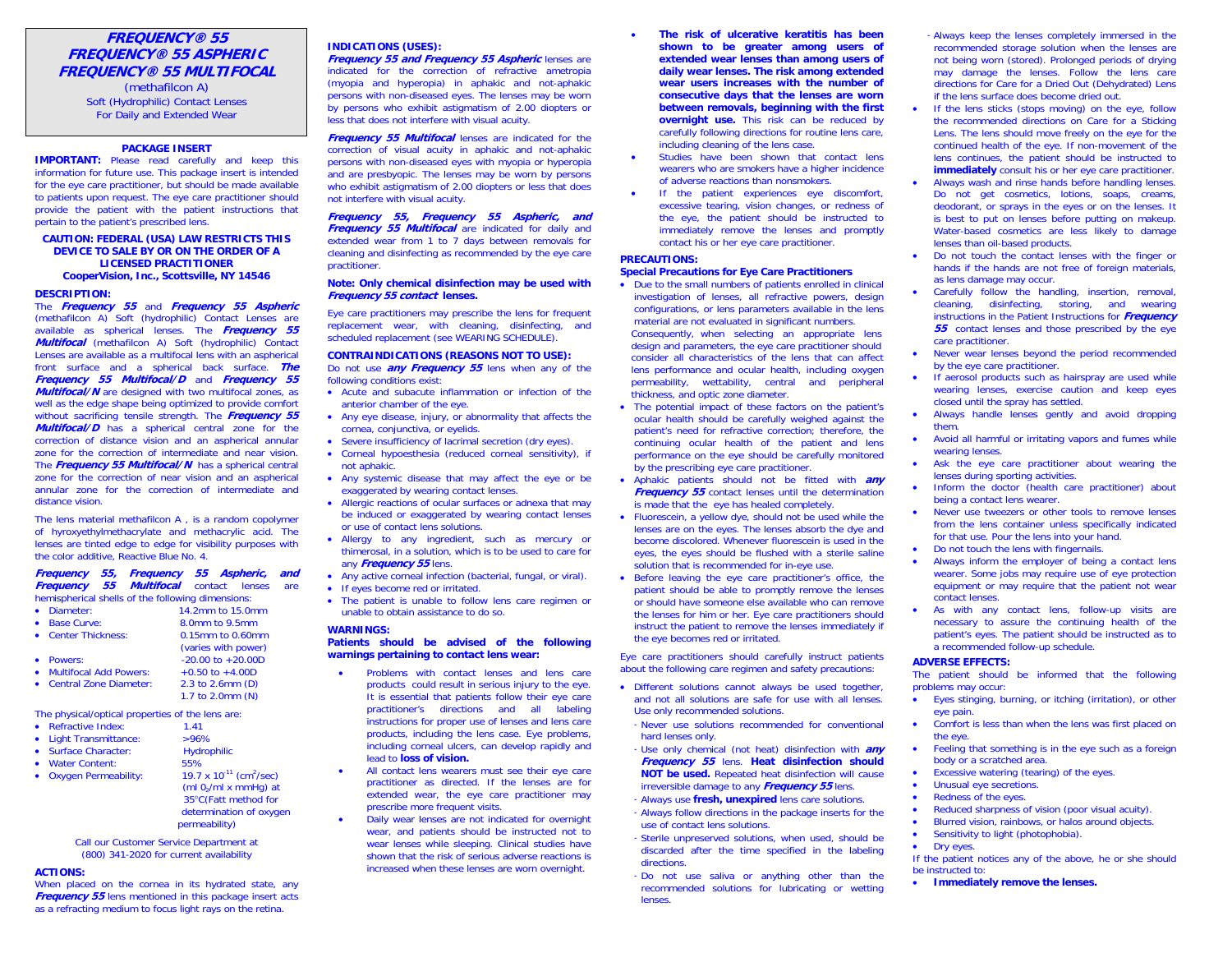## **FREQUENCY® 55 FREQUENCY® 55 ASPHERIC FREQUENCY® 55 MULTIFOCAL**

(methafilcon A) Soft (Hydrophilic) Contact Lenses For Daily and Extended Wear

#### **PACKAGE INSERT**

 **IMPORTANT:** Please read carefully and keep this information for future use. This package insert is intended for the eye care practitioner, but should be made available to patients upon request. The eye care practitioner should provide the patient with the patient instructions that pertain to the patient's prescribed lens.

## **CAUTION: FEDERAL (USA) LAW RESTRICTS THIS DEVICE TO SALE BY OR ON THE ORDER OF A LICENSED PRACTITIONER**

# **CooperVision, Inc., Scottsville, NY 14546**

#### **DESCRIPTION:**

## The **Frequency 55** and **Frequency 55 Aspheric** (methafilcon A) Soft (hydrophilic) Contact Lenses are

available as spherical lenses. The **Frequency 55 Multifocal** (methafilcon A) Soft (hydrophilic) Contact Lenses are available as a multifocal lens with an aspherical front surface and a spherical back surface. **The Frequency 55 Multifocal/D** and **Frequency 55 Multifocal/N** are designed with two multifocal zones, as well as the edge shape being optimized to provide comfort without sacrificing tensile strength. The **Frequency 55 Multifocal/D** has a spherical central zone for the correction of distance vision and an aspherical annular zone for the correction of intermediate and near vision. The **Frequency 55 Multifocal/N** has a spherical central zone for the correction of near vision and an aspherical annular zone for the correction of intermediate and distance vision.

The lens material methafilcon A , is a random copolymer of hyroxyethylmethacrylate and methacrylic acid. The lenses are tinted edge to edge for visibility purposes with the color additive, Reactive Blue No. 4.

**Frequency 55, Frequency 55 Aspheric, and Frequency 55 Multifocal** contact lenses are hemispherical shells of the following dimensions:<br>
• Diameter: 14.2mm to 15.0m

14.2mm to 15.0mm

- 
- Base Curve: 8.0mm to 9.5mm
- 0.15mm to 0.60mm • Center Thickness: (varies with power)
- Powers:  $-20.00 \text{ to } +20.00$
- Multifocal Add Powers:  $+0.50$  to  $+4.00D$
- 2.3 to 2.6mm (D) • Central Zone Diameter:
- 1.7 to 2.0mm (N)

The physical/optical properties of the lens are:

- Refractive Index: 1.41
- $>96%$ • Light Transmittance:  $>96\%$ <br>• Surface Character: Hydrophilic
- Surface Character: Hydr<br>• Water Content: 55%
- Water Content:
- Oxygen Permeability:  $19.7 \times 10^{-11}$  (cm<sup>2</sup>/sec)

 35°C(Fatt method for determination of oxygen permeability)

(ml  $0<sub>2</sub>/ml$  x mmHg) at

Call our Customer Service Department at (800) 341-2020 for current availability

## **ACTIONS:**

 When placed on the cornea in its hydrated state, any **Frequency 55** lens mentioned in this package insert acts as a refracting medium to focus light rays on the retina.

#### **INDICATIONS (USES):**

**Frequency 55 and Frequency 55 Aspheric lenses are** indicated for the correction of refractive ametropia (myopia and hyperopia) in aphakic and not-aphakic persons with non-diseased eyes. The lenses may be worn by persons who exhibit astigmatism of 2.00 diopters or less that does not interfere with visual acuity.

**Frequency 55 Multifocal** lenses are indicated for the correction of visual acuity in aphakic and not-aphakic persons with non-diseased eyes with myopia or hyperopia and are presbyopic. The lenses may be worn by persons who exhibit astigmatism of 2.00 diopters or less that does not interfere with visual acuity.

**Frequency 55, Frequency 55 Aspheric, and Frequency 55 Multifocal** are indicated for daily and extended wear from 1 to 7 days between removals for cleaning and disinfecting as recommended by the eye care practitioner.

#### **Note: Only chemical disinfection may be used with Frequency 55 contact lenses.**

Eye care practitioners may prescribe the lens for frequent replacement wear, with cleaning, disinfecting, and scheduled replacement (see WEARING SCHEDULE).

#### **CONTRAINDICATIONS (REASONS NOT TO USE):**  Do not use **any Frequency 55** lens when any of the following conditions exist:

- Acute and subacute inflammation or infection of the anterior chamber of the eye.
- Any eye disease, injury, or abnormality that affects the cornea, conjunctiva, or eyelids.
- Severe insufficiency of lacrimal secretion (dry eyes).
- Corneal hypoesthesia (reduced corneal sensitivity), if not aphakic.
- Any systemic disease that may affect the eye or be exaggerated by wearing contact lenses.
- Allergic reactions of ocular surfaces or adnexa that may be induced or exaggerated by wearing contact lenses or use of contact lens solutions.
- Allergy to any ingredient, such as mercury or thimerosal, in a solution, which is to be used to care for any **Frequency 55** lens.
- Any active corneal infection (bacterial, fungal, or viral).
- If eyes become red or irritated.
- The patient is unable to follow lens care regimen or unable to obtain assistance to do so.

#### **WARNINGS:**

#### **Patients should be advised of the following warnings pertaining to contact lens wear:**

- Problems with contact lenses and lens care products could result in serious injury to the eye. It is essential that patients follow their eye care practitioner's directions and all labeling instructions for proper use of lenses and lens care products, including the lens case. Eye problems, including corneal ulcers, can develop rapidly and lead to **loss of vision.**
- All contact lens wearers must see their eye care practitioner as directed. If the lenses are for extended wear, the eye care practitioner may prescribe more frequent visits.
- Daily wear lenses are not indicated for overnight wear, and patients should be instructed not to wear lenses while sleeping. Clinical studies have shown that the risk of serious adverse reactions is increased when these lenses are worn overnight.
- **The risk of ulcerative keratitis has been shown to be greater among users of extended wear lenses than among users of daily wear lenses. The risk among extended wear users increases with the number of consecutive days that the lenses are worn between removals, beginning with the first overnight use.** This risk can be reduced by carefully following directions for routine lens care, including cleaning of the lens case.
- Studies have been shown that contact lens wearers who are smokers have a higher incidence of adverse reactions than nonsmokers.
- If the patient experiences eye discomfort, excessive tearing, vision changes, or redness of the eye, the patient should be instructed to immediately remove the lenses and promptly contact his or her eye care practitioner.

## **PRECAUTIONS:**

## **Special Precautions for Eye Care Practitioners**

- Due to the small numbers of patients enrolled in clinical investigation of lenses, all refractive powers, design configurations, or lens parameters available in the lens material are not evaluated in significant numbers. Consequently, when selecting an appropriate lens design and parameters, the eye care practitioner should consider all characteristics of the lens that can affect lens performance and ocular health, including oxygen permeability, wettability, central and peripheral thickness, and optic zone diameter.
- The potential impact of these factors on the patient's ocular health should be carefully weighed against the patient's need for refractive correction; therefore, the continuing ocular health of the patient and lens performance on the eye should be carefully monitored by the prescribing eye care practitioner.
- Aphakic patients should not be fitted with **any Frequency 55** contact lenses until the determination is made that the eye has healed completely.
- Fluorescein, a vellow dye, should not be used while the lenses are on the eyes. The lenses absorb the dye and become discolored. Whenever fluorescein is used in the eyes, the eyes should be flushed with a sterile saline solution that is recommended for in-eye use.
- Before leaving the eye care practitioner's office, the patient should be able to promptly remove the lenses or should have someone else available who can remove the lenses for him or her. Eye care practitioners should instruct the patient to remove the lenses immediately if the eye becomes red or irritated.

Eye care practitioners should carefully instruct patients about the following care regimen and safety precautions:

- Different solutions cannot always be used together, and not all solutions are safe for use with all lenses. Use only recommended solutions.
- Never use solutions recommended for conventional hard lenses only.
- Use only chemical (not heat) disinfection with **any Frequency 55** lens. **Heat disinfection should NOT be used.** Repeated heat disinfection will cause irreversible damage to any **Frequency 55** lens.
- Always use **fresh, unexpired** lens care solutions.
- Always follow directions in the package inserts for the use of contact lens solutions.
- Sterile unpreserved solutions, when used, should be discarded after the time specified in the labeling directions.
- Do not use saliva or anything other than the recommended solutions for lubricating or wetting lenses.
- Always keep the lenses completely immersed in the recommended storage solution when the lenses are not being worn (stored). Prolonged periods of drying may damage the lenses. Follow the lens care directions for Care for a Dried Out (Dehydrated) Lens if the lens surface does become dried out.
- If the lens sticks (stops moving) on the eye, follow the recommended directions on Care for a Sticking Lens. The lens should move freely on the eye for the continued health of the eye. If non-movement of the lens continues, the patient should be instructed to **immediately** consult his or her eye care practitioner.
- Always wash and rinse hands before handling lenses. Do not get cosmetics, lotions, soaps, creams, deodorant, or sprays in the eyes or on the lenses. It is best to put on lenses before putting on makeup. Water-based cosmetics are less likely to damage lenses than oil-based products.
- Do not touch the contact lenses with the finger or hands if the hands are not free of foreign materials. as lens damage may occur.
- Carefully follow the handling, insertion, removal, cleaning, disinfecting, storing, and wearing instructions in the Patient Instructions for **Frequency 55** contact lenses and those prescribed by the eye care practitioner.
- Never wear lenses beyond the period recommended by the eye care practitioner.
- If aerosol products such as hairspray are used while wearing lenses, exercise caution and keep eyes closed until the spray has settled.
- Always handle lenses gently and avoid dropping them.
- Avoid all harmful or irritating vapors and fumes while wearing lenses.
- Ask the eye care practitioner about wearing the lenses during sporting activities.
- Inform the doctor (health care practitioner) about being a contact lens wearer.
- Never use tweezers or other tools to remove lenses from the lens container unless specifically indicated for that use. Pour the lens into your hand.
- Do not touch the lens with fingernails.
- Always inform the employer of being a contact lens wearer. Some jobs may require use of eye protection equipment or may require that the patient not wear contact lenses.
- As with any contact lens, follow-up visits are necessary to assure the continuing health of the patient's eyes. The patient should be instructed as to a recommended follow-up schedule.

#### **ADVERSE EFFECTS:**

 The patient should be informed that the following problems may occur:

- Eyes stinging, burning, or itching (irritation), or other eye pain.
- Comfort is less than when the lens was first placed on the eye.
- Feeling that something is in the eye such as a foreign body or a scratched area.
- Excessive watering (tearing) of the eyes.
- Unusual eye secretions.
- Redness of the eyes.
- Reduced sharpness of vision (poor visual acuity).
- Blurred vision, rainbows, or halos around objects.
- Sensitivity to light (photophobia).
- Dry eyes.

If the patient notices any of the above, he or she should be instructed to:

• **Immediately remove the lenses.**